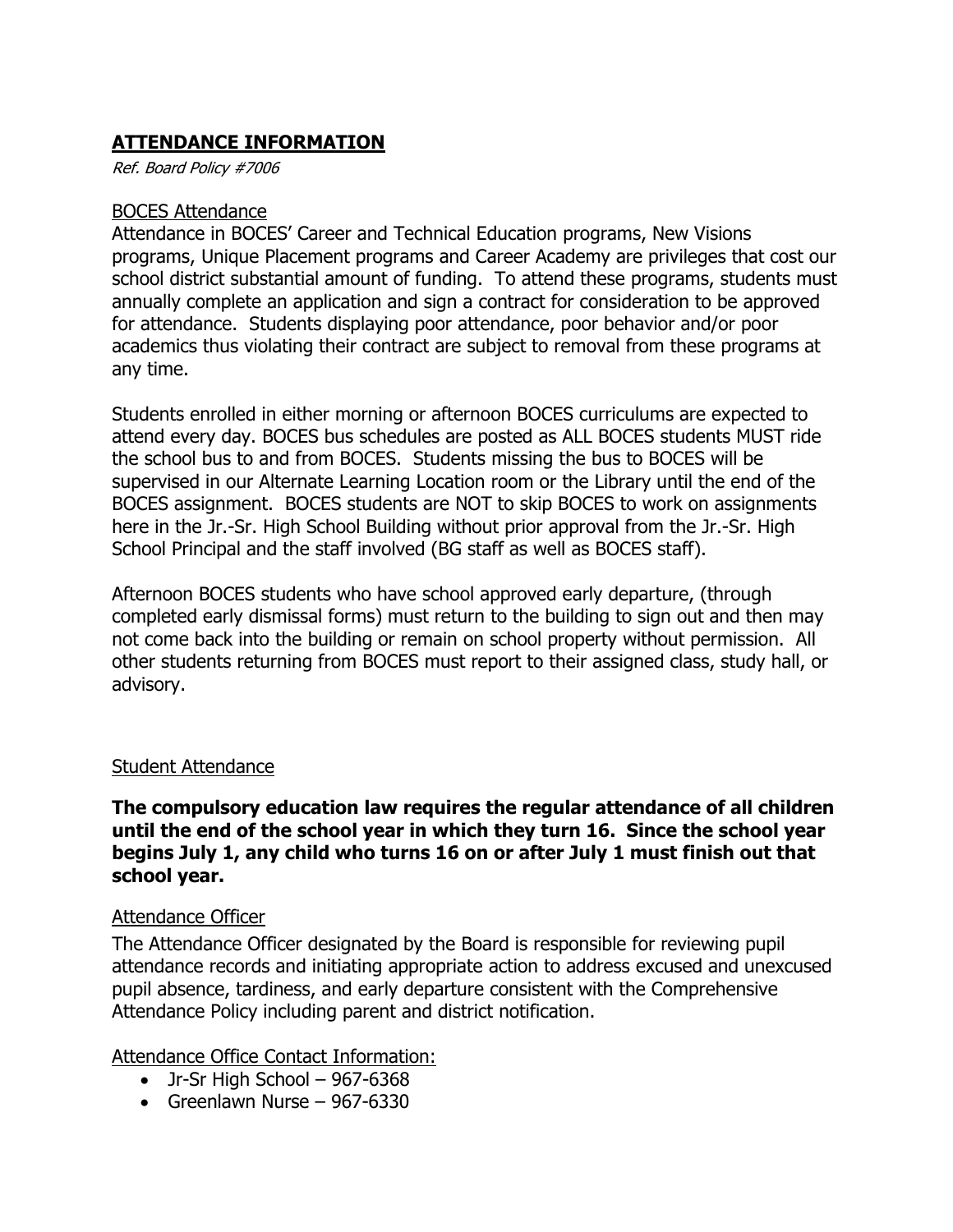## **ATTENDANCE INFORMATION**

Ref. Board Policy #7006

#### BOCES Attendance

Attendance in BOCES' Career and Technical Education programs, New Visions programs, Unique Placement programs and Career Academy are privileges that cost our school district substantial amount of funding. To attend these programs, students must annually complete an application and sign a contract for consideration to be approved for attendance. Students displaying poor attendance, poor behavior and/or poor academics thus violating their contract are subject to removal from these programs at any time.

Students enrolled in either morning or afternoon BOCES curriculums are expected to attend every day. BOCES bus schedules are posted as ALL BOCES students MUST ride the school bus to and from BOCES. Students missing the bus to BOCES will be supervised in our Alternate Learning Location room or the Library until the end of the BOCES assignment. BOCES students are NOT to skip BOCES to work on assignments here in the Jr.-Sr. High School Building without prior approval from the Jr.-Sr. High School Principal and the staff involved (BG staff as well as BOCES staff).

Afternoon BOCES students who have school approved early departure, (through completed early dismissal forms) must return to the building to sign out and then may not come back into the building or remain on school property without permission. All other students returning from BOCES must report to their assigned class, study hall, or advisory.

#### Student Attendance

**The compulsory education law requires the regular attendance of all children until the end of the school year in which they turn 16. Since the school year begins July 1, any child who turns 16 on or after July 1 must finish out that school year.**

#### Attendance Officer

The Attendance Officer designated by the Board is responsible for reviewing pupil attendance records and initiating appropriate action to address excused and unexcused pupil absence, tardiness, and early departure consistent with the Comprehensive Attendance Policy including parent and district notification.

### Attendance Office Contact Information:

- $\bullet$  Jr-Sr High School 967-6368
- Greenlawn Nurse  $967-6330$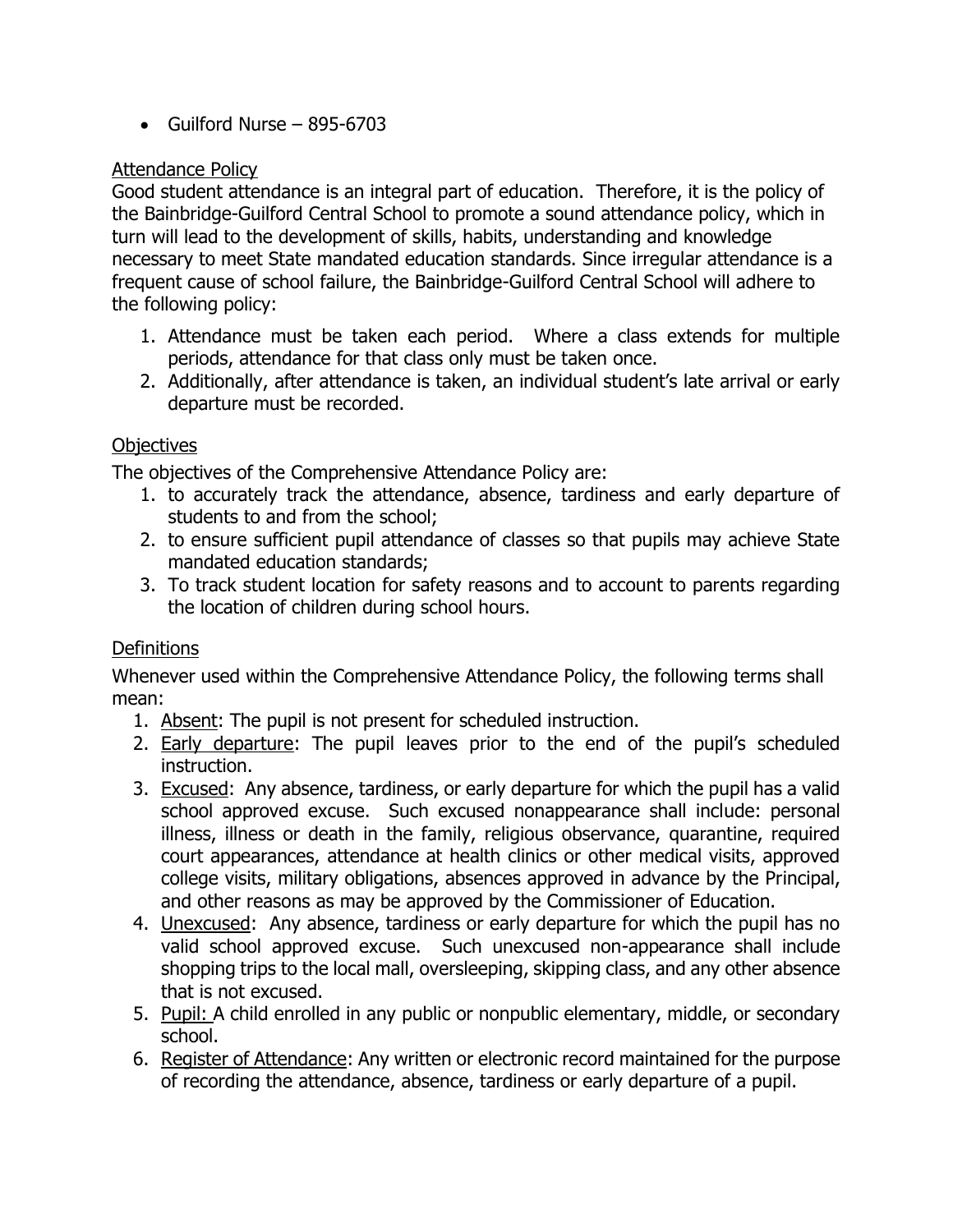$\bullet$  Guilford Nurse – 895-6703

## Attendance Policy

Good student attendance is an integral part of education. Therefore, it is the policy of the Bainbridge-Guilford Central School to promote a sound attendance policy, which in turn will lead to the development of skills, habits, understanding and knowledge necessary to meet State mandated education standards. Since irregular attendance is a frequent cause of school failure, the Bainbridge-Guilford Central School will adhere to the following policy:

- 1. Attendance must be taken each period. Where a class extends for multiple periods, attendance for that class only must be taken once.
- 2. Additionally, after attendance is taken, an individual student's late arrival or early departure must be recorded.

## **Objectives**

The objectives of the Comprehensive Attendance Policy are:

- 1. to accurately track the attendance, absence, tardiness and early departure of students to and from the school;
- 2. to ensure sufficient pupil attendance of classes so that pupils may achieve State mandated education standards;
- 3. To track student location for safety reasons and to account to parents regarding the location of children during school hours.

## **Definitions**

Whenever used within the Comprehensive Attendance Policy, the following terms shall mean:

- 1. Absent: The pupil is not present for scheduled instruction.
- 2. Early departure: The pupil leaves prior to the end of the pupil's scheduled instruction.
- 3. Excused: Any absence, tardiness, or early departure for which the pupil has a valid school approved excuse. Such excused nonappearance shall include: personal illness, illness or death in the family, religious observance, quarantine, required court appearances, attendance at health clinics or other medical visits, approved college visits, military obligations, absences approved in advance by the Principal, and other reasons as may be approved by the Commissioner of Education.
- 4. Unexcused: Any absence, tardiness or early departure for which the pupil has no valid school approved excuse. Such unexcused non-appearance shall include shopping trips to the local mall, oversleeping, skipping class, and any other absence that is not excused.
- 5. Pupil: A child enrolled in any public or nonpublic elementary, middle, or secondary school.
- 6. Register of Attendance: Any written or electronic record maintained for the purpose of recording the attendance, absence, tardiness or early departure of a pupil.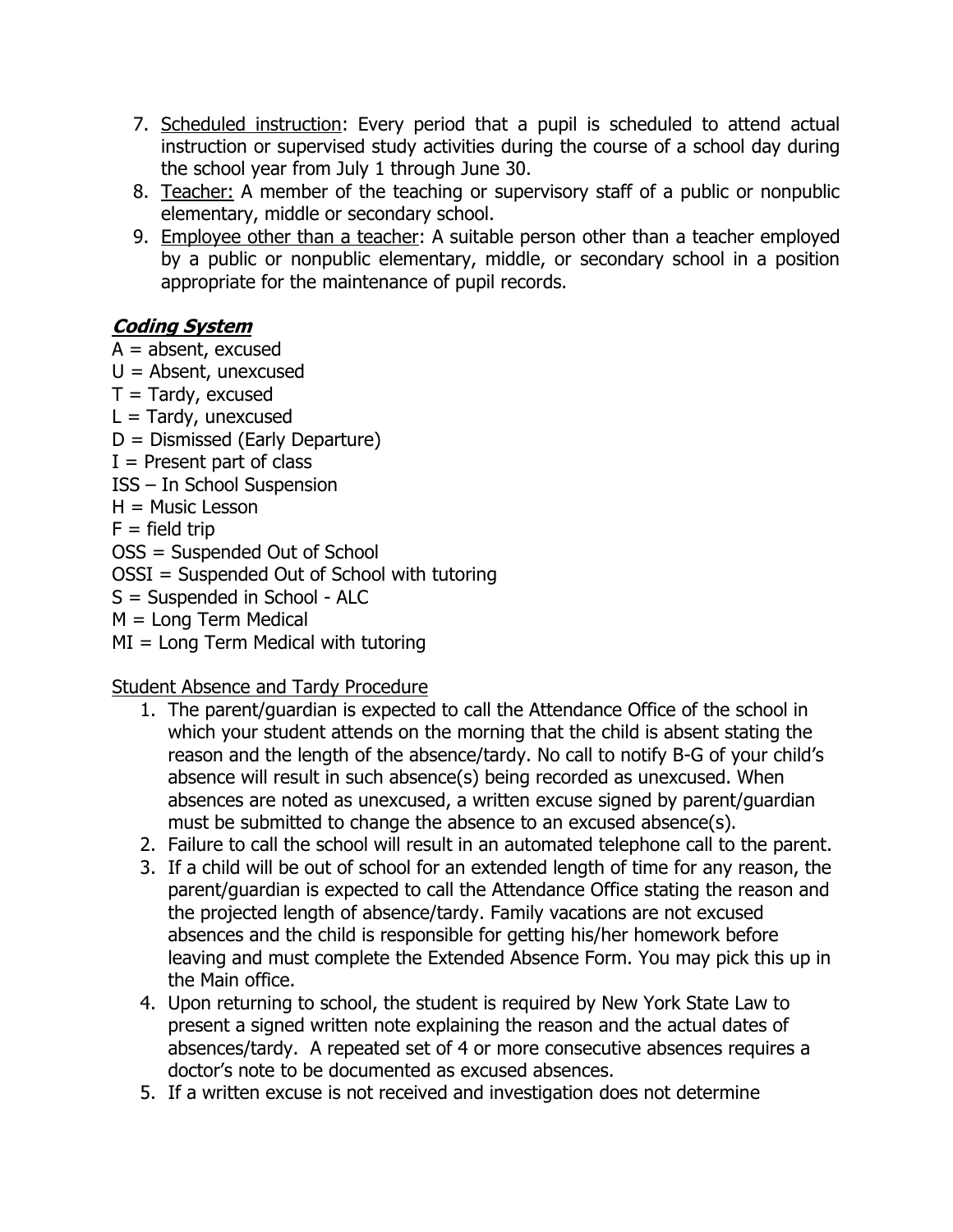- 7. Scheduled instruction: Every period that a pupil is scheduled to attend actual instruction or supervised study activities during the course of a school day during the school year from July 1 through June 30.
- 8. Teacher: A member of the teaching or supervisory staff of a public or nonpublic elementary, middle or secondary school.
- 9. Employee other than a teacher: A suitable person other than a teacher employed by a public or nonpublic elementary, middle, or secondary school in a position appropriate for the maintenance of pupil records.

# **Coding System**

 $A =$  absent, excused  $U =$  Absent, unexcused  $T = \text{T}$ ardy, excused  $L = \text{Tardy}$ , unexcused D = Dismissed (Early Departure)  $I =$  Present part of class ISS – In School Suspension  $H =$  Music Lesson  $F =$  field trip OSS = Suspended Out of School OSSI = Suspended Out of School with tutoring S = Suspended in School - ALC M = Long Term Medical  $MI = Long Term Medical with tutorial$ 

Student Absence and Tardy Procedure

- 1. The parent/guardian is expected to call the Attendance Office of the school in which your student attends on the morning that the child is absent stating the reason and the length of the absence/tardy. No call to notify B-G of your child's absence will result in such absence(s) being recorded as unexcused. When absences are noted as unexcused, a written excuse signed by parent/guardian must be submitted to change the absence to an excused absence(s).
- 2. Failure to call the school will result in an automated telephone call to the parent.
- 3. If a child will be out of school for an extended length of time for any reason, the parent/guardian is expected to call the Attendance Office stating the reason and the projected length of absence/tardy. Family vacations are not excused absences and the child is responsible for getting his/her homework before leaving and must complete the Extended Absence Form. You may pick this up in the Main office.
- 4. Upon returning to school, the student is required by New York State Law to present a signed written note explaining the reason and the actual dates of absences/tardy. A repeated set of 4 or more consecutive absences requires a doctor's note to be documented as excused absences.
- 5. If a written excuse is not received and investigation does not determine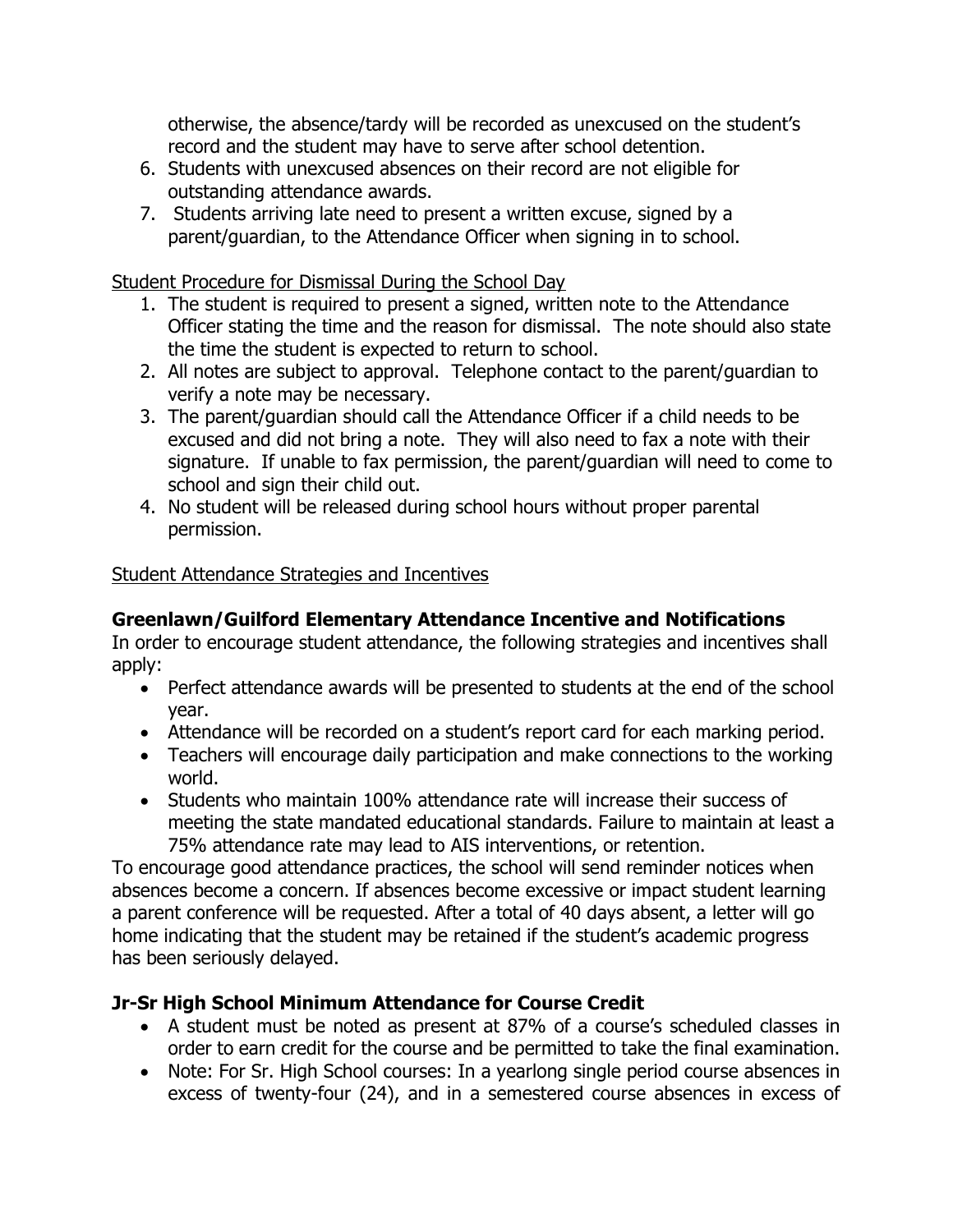otherwise, the absence/tardy will be recorded as unexcused on the student's record and the student may have to serve after school detention.

- 6. Students with unexcused absences on their record are not eligible for outstanding attendance awards.
- 7. Students arriving late need to present a written excuse, signed by a parent/guardian, to the Attendance Officer when signing in to school.

### Student Procedure for Dismissal During the School Day

- 1. The student is required to present a signed, written note to the Attendance Officer stating the time and the reason for dismissal. The note should also state the time the student is expected to return to school.
- 2. All notes are subject to approval. Telephone contact to the parent/guardian to verify a note may be necessary.
- 3. The parent/guardian should call the Attendance Officer if a child needs to be excused and did not bring a note. They will also need to fax a note with their signature. If unable to fax permission, the parent/guardian will need to come to school and sign their child out.
- 4. No student will be released during school hours without proper parental permission.

## Student Attendance Strategies and Incentives

## **Greenlawn/Guilford Elementary Attendance Incentive and Notifications**

In order to encourage student attendance, the following strategies and incentives shall apply:

- Perfect attendance awards will be presented to students at the end of the school year.
- Attendance will be recorded on a student's report card for each marking period.
- Teachers will encourage daily participation and make connections to the working world.
- Students who maintain 100% attendance rate will increase their success of meeting the state mandated educational standards. Failure to maintain at least a 75% attendance rate may lead to AIS interventions, or retention.

To encourage good attendance practices, the school will send reminder notices when absences become a concern. If absences become excessive or impact student learning a parent conference will be requested. After a total of 40 days absent, a letter will go home indicating that the student may be retained if the student's academic progress has been seriously delayed.

## **Jr-Sr High School Minimum Attendance for Course Credit**

- A student must be noted as present at 87% of a course's scheduled classes in order to earn credit for the course and be permitted to take the final examination.
- Note: For Sr. High School courses: In a yearlong single period course absences in excess of twenty-four (24), and in a semestered course absences in excess of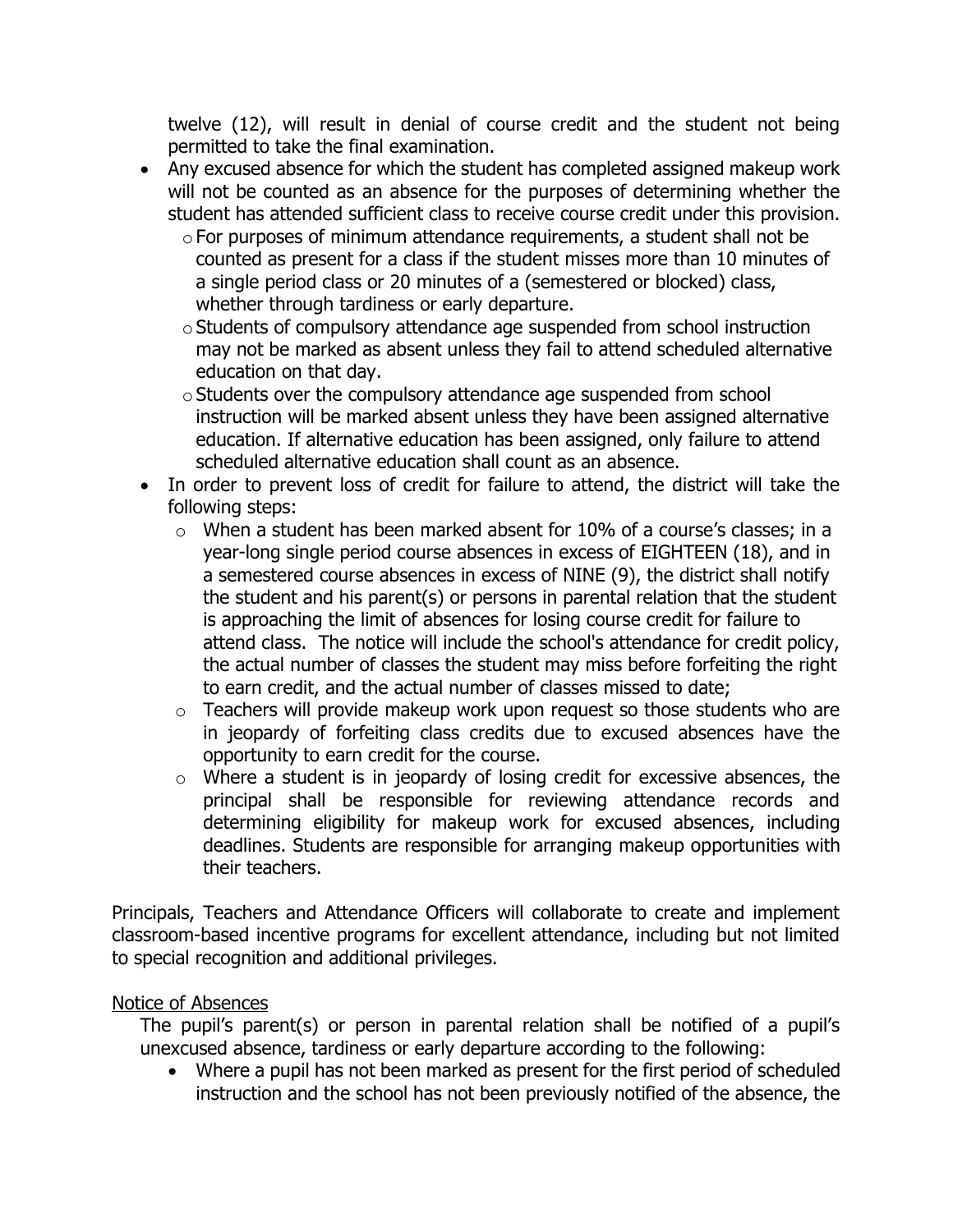twelve (12), will result in denial of course credit and the student not being permitted to take the final examination.

- Any excused absence for which the student has completed assigned makeup work will not be counted as an absence for the purposes of determining whether the student has attended sufficient class to receive course credit under this provision.
	- $\circ$  For purposes of minimum attendance requirements, a student shall not be counted as present for a class if the student misses more than 10 minutes of a single period class or 20 minutes of a (semestered or blocked) class, whether through tardiness or early departure.
	- o Students of compulsory attendance age suspended from school instruction may not be marked as absent unless they fail to attend scheduled alternative education on that day.
	- oStudents over the compulsory attendance age suspended from school instruction will be marked absent unless they have been assigned alternative education. If alternative education has been assigned, only failure to attend scheduled alternative education shall count as an absence.
- In order to prevent loss of credit for failure to attend, the district will take the following steps:
	- o When a student has been marked absent for 10% of a course's classes; in a year-long single period course absences in excess of EIGHTEEN (18), and in a semestered course absences in excess of NINE (9), the district shall notify the student and his parent(s) or persons in parental relation that the student is approaching the limit of absences for losing course credit for failure to attend class. The notice will include the school's attendance for credit policy, the actual number of classes the student may miss before forfeiting the right to earn credit, and the actual number of classes missed to date;
	- o Teachers will provide makeup work upon request so those students who are in jeopardy of forfeiting class credits due to excused absences have the opportunity to earn credit for the course.
	- o Where a student is in jeopardy of losing credit for excessive absences, the principal shall be responsible for reviewing attendance records and determining eligibility for makeup work for excused absences, including deadlines. Students are responsible for arranging makeup opportunities with their teachers.

Principals, Teachers and Attendance Officers will collaborate to create and implement classroom-based incentive programs for excellent attendance, including but not limited to special recognition and additional privileges.

### Notice of Absences

The pupil's parent(s) or person in parental relation shall be notified of a pupil's unexcused absence, tardiness or early departure according to the following:

 Where a pupil has not been marked as present for the first period of scheduled instruction and the school has not been previously notified of the absence, the